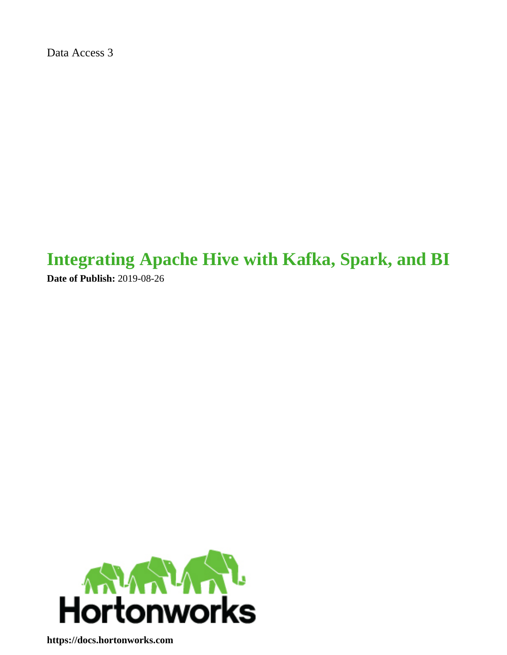Data Access 3

# **Integrating Apache Hive with Kafka, Spark, and BI**

**Date of Publish:** 2019-08-26



**<https://docs.hortonworks.com>**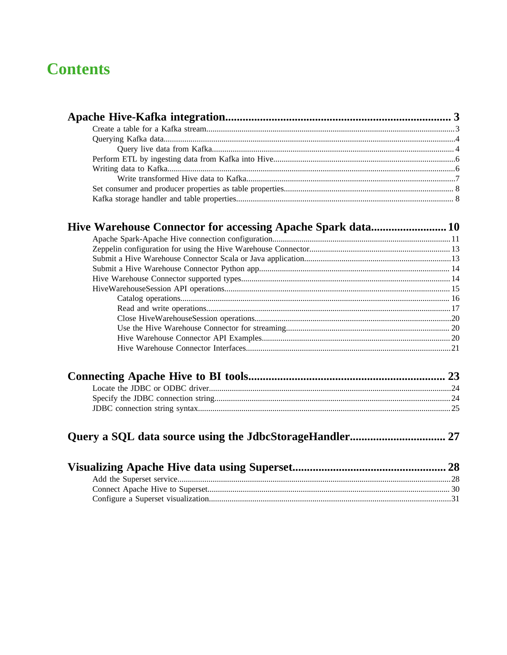## **Contents**

| 23 |
|----|

##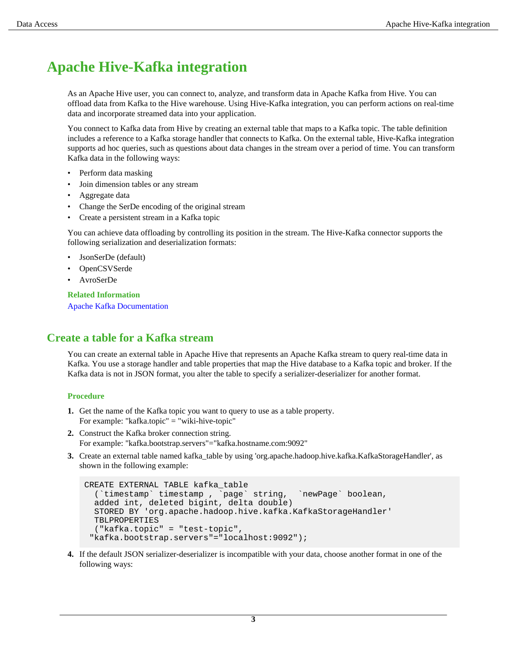## <span id="page-2-0"></span>**Apache Hive-Kafka integration**

As an Apache Hive user, you can connect to, analyze, and transform data in Apache Kafka from Hive. You can offload data from Kafka to the Hive warehouse. Using Hive-Kafka integration, you can perform actions on real-time data and incorporate streamed data into your application.

You connect to Kafka data from Hive by creating an external table that maps to a Kafka topic. The table definition includes a reference to a Kafka storage handler that connects to Kafka. On the external table, Hive-Kafka integration supports ad hoc queries, such as questions about data changes in the stream over a period of time. You can transform Kafka data in the following ways:

- Perform data masking
- Join dimension tables or any stream
- Aggregate data
- Change the SerDe encoding of the original stream
- Create a persistent stream in a Kafka topic

You can achieve data offloading by controlling its position in the stream. The Hive-Kafka connector supports the following serialization and deserialization formats:

- JsonSerDe (default)
- OpenCSVSerde
- AvroSerDe

**Related Information**

[Apache Kafka Documentation](https://kafka.apache.org/0110/documentation.html)

## <span id="page-2-1"></span>**Create a table for a Kafka stream**

You can create an external table in Apache Hive that represents an Apache Kafka stream to query real-time data in Kafka. You use a storage handler and table properties that map the Hive database to a Kafka topic and broker. If the Kafka data is not in JSON format, you alter the table to specify a serializer-deserializer for another format.

#### **Procedure**

- **1.** Get the name of the Kafka topic you want to query to use as a table property. For example: "kafka.topic" = "wiki-hive-topic"
- **2.** Construct the Kafka broker connection string. For example: "kafka.bootstrap.servers"="kafka.hostname.com:9092"
- **3.** Create an external table named kafka table by using 'org.apache.hadoop.hive.kafka.KafkaStorageHandler', as shown in the following example:

```
CREATE EXTERNAL TABLE kafka_table
   (`timestamp` timestamp , `page` string, `newPage` boolean, 
   added int, deleted bigint, delta double)
   STORED BY 'org.apache.hadoop.hive.kafka.KafkaStorageHandler'
   TBLPROPERTIES
   ("kafka.topic" = "test-topic",
  "kafka.bootstrap.servers"="localhost:9092");
```
**4.** If the default JSON serializer-deserializer is incompatible with your data, choose another format in one of the following ways: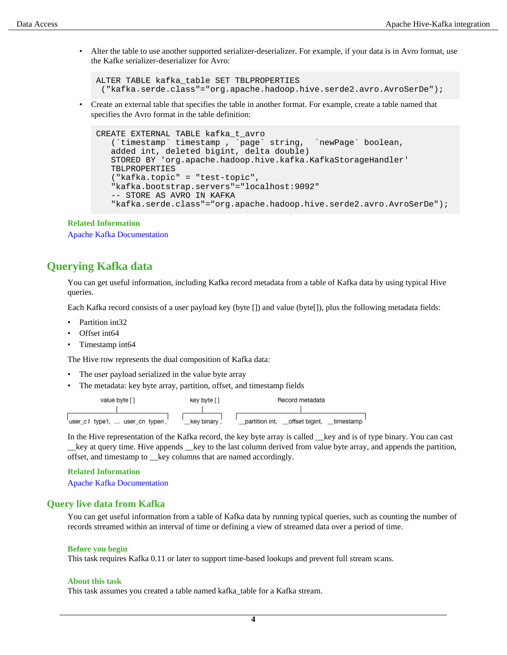• Alter the table to use another supported serializer-deserializer. For example, if your data is in Avro format, use the Kafke serializer-deserializer for Avro:

ALTER TABLE kafka\_table SET TBLPROPERTIES ("kafka.serde.class"="org.apache.hadoop.hive.serde2.avro.AvroSerDe");

• Create an external table that specifies the table in another format. For example, create a table named that specifies the Avro format in the table definition:

```
CREATE EXTERNAL TABLE kafka_t_avro
 (`timestamp` timestamp , `page` string, `newPage` boolean, 
 added int, deleted bigint, delta double)
   STORED BY 'org.apache.hadoop.hive.kafka.KafkaStorageHandler'
   TBLPROPERTIES
    ("kafka.topic" = "test-topic", 
    "kafka.bootstrap.servers"="localhost:9092"
    -- STORE AS AVRO IN KAFKA
    "kafka.serde.class"="org.apache.hadoop.hive.serde2.avro.AvroSerDe");
```
#### **Related Information**

[Apache Kafka Documentation](https://kafka.apache.org/0110/documentation.html)

## <span id="page-3-0"></span>**Querying Kafka data**

You can get useful information, including Kafka record metadata from a table of Kafka data by using typical Hive queries.

Each Kafka record consists of a user payload key (byte []) and value (byte[]), plus the following metadata fields:

- Partition int32
- Offset int64
- Timestamp int64

The Hive row represents the dual composition of Kafka data:

- The user payload serialized in the value byte array
- The metadata: key byte array, partition, offset, and timestamp fields

| value byte []                  | key byte [ ] | Record metadata                               |
|--------------------------------|--------------|-----------------------------------------------|
|                                |              |                                               |
| user_c1 type1,  user_cn typen, | key binary . | offset bigint,<br>partition int.<br>timestamp |

In the Hive representation of the Kafka record, the key byte array is called \_\_key and is of type binary. You can cast \_\_key at query time. Hive appends \_\_key to the last column derived from value byte array, and appends the partition, offset, and timestamp to \_\_key columns that are named accordingly.

#### **Related Information**

[Apache Kafka Documentation](https://kafka.apache.org/0110/documentation.html)

#### <span id="page-3-1"></span>**Query live data from Kafka**

You can get useful information from a table of Kafka data by running typical queries, such as counting the number of records streamed within an interval of time or defining a view of streamed data over a period of time.

#### **Before you begin**

This task requires Kafka 0.11 or later to support time-based lookups and prevent full stream scans.

#### **About this task**

This task assumes you created a table named kafka\_table for a Kafka stream.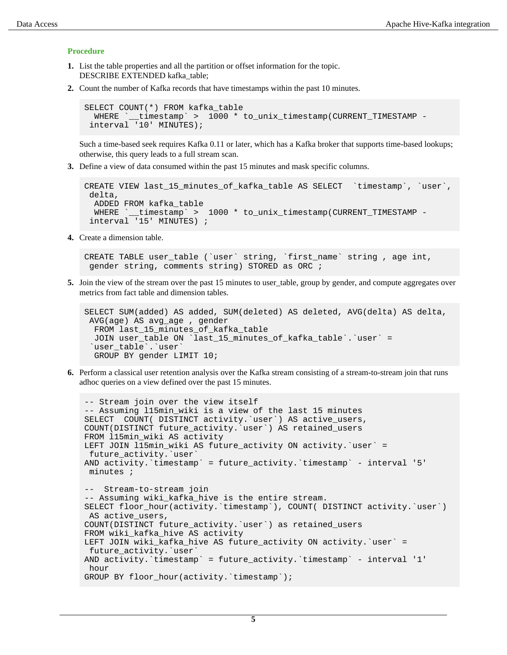#### **Procedure**

- **1.** List the table properties and all the partition or offset information for the topic. DESCRIBE EXTENDED kafka\_table;
- **2.** Count the number of Kafka records that have timestamps within the past 10 minutes.

```
SELECT COUNT(*) FROM kafka_table 
  WHERE `__timestamp` > 1000 * to_unix_timestamp(CURRENT_TIMESTAMP -
  interval '10' MINUTES);
```
Such a time-based seek requires Kafka 0.11 or later, which has a Kafka broker that supports time-based lookups; otherwise, this query leads to a full stream scan.

**3.** Define a view of data consumed within the past 15 minutes and mask specific columns.

```
CREATE VIEW last_15_minutes_of_kafka_table AS SELECT `timestamp`, `user`,
  delta, 
  ADDED FROM kafka_table 
  WHERE `__timestamp` > 1000 * to_unix_timestamp(CURRENT_TIMESTAMP -
  interval '15' MINUTES) ;
```
**4.** Create a dimension table.

```
CREATE TABLE user_table (`user` string, `first_name` string , age int,
 gender string, comments string) STORED as ORC ;
```
**5.** Join the view of the stream over the past 15 minutes to user\_table, group by gender, and compute aggregates over metrics from fact table and dimension tables.

```
SELECT SUM(added) AS added, SUM(deleted) AS deleted, AVG(delta) AS delta,
 AVG(age) AS avg_age , gender 
 FROM last 15 minutes of kafka table
  JOIN user_table ON `last_15_minutes_of_kafka_table`.`user` =
  `user_table`.`user`
  GROUP BY gender LIMIT 10;
```
**6.** Perform a classical user retention analysis over the Kafka stream consisting of a stream-to-stream join that runs adhoc queries on a view defined over the past 15 minutes.

```
-- Stream join over the view itself
-- Assuming l15min_wiki is a view of the last 15 minutes
SELECT COUNT( DISTINCT activity.`user`) AS active_users, 
COUNT(DISTINCT future_activity.`user`) AS retained_users
FROM l15min_wiki AS activity
LEFT JOIN l15min_wiki AS future_activity ON activity.`user` =
 future_activity.`user`
AND activity.`timestamp` = future_activity.`timestamp` - interval '5'
 minutes ; 
-- Stream-to-stream join
-- Assuming wiki_kafka_hive is the entire stream.
SELECT floor_hour(activity.`timestamp`), COUNT( DISTINCT activity.`user`)
 AS active_users, 
COUNT(DISTINCT future_activity.`user`) as retained_users
FROM wiki_kafka_hive AS activity
LEFT JOIN wiki_kafka_hive AS future_activity ON activity.`user` =
 future_activity.`user`
AND activity.`timestamp` = future_activity.`timestamp` - interval '1'
 hour 
GROUP BY floor_hour(activity.`timestamp`);
```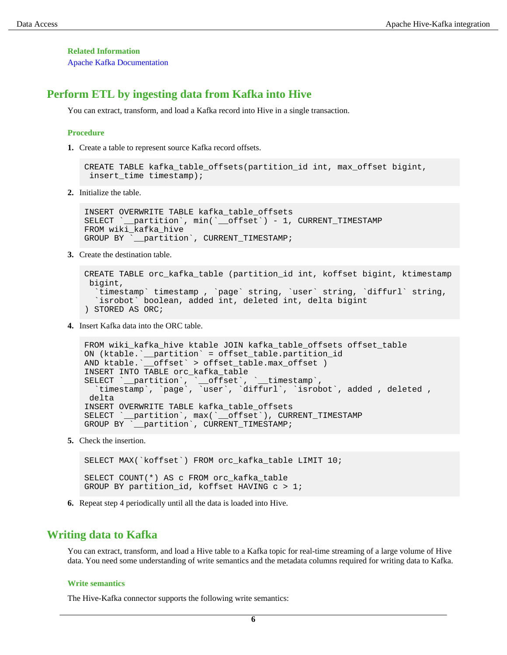**Related Information**

[Apache Kafka Documentation](https://kafka.apache.org/0110/documentation.html)

### <span id="page-5-0"></span>**Perform ETL by ingesting data from Kafka into Hive**

You can extract, transform, and load a Kafka record into Hive in a single transaction.

#### **Procedure**

**1.** Create a table to represent source Kafka record offsets.

```
CREATE TABLE kafka_table_offsets(partition_id int, max_offset bigint,
  insert_time timestamp);
```
**2.** Initialize the table.

```
INSERT OVERWRITE TABLE kafka_table_offsets 
SELECT `__partition`, min(`__offset`) - 1, CURRENT_TIMESTAMP 
FROM wiki_kafka_hive 
GROUP BY `__partition`, CURRENT_TIMESTAMP;
```
**3.** Create the destination table.

```
CREATE TABLE orc kafka table (partition id int, koffset bigint, ktimestamp
 bigint,
   `timestamp` timestamp , `page` string, `user` string, `diffurl` string, 
   `isrobot` boolean, added int, deleted int, delta bigint
) STORED AS ORC;
```
**4.** Insert Kafka data into the ORC table.

```
FROM wiki_kafka_hive ktable JOIN kafka_table_offsets offset_table
ON (ktable.`__partition` = offset_table.partition_id<br>AND ktable.`__offset` > offset_table.max_offset )
              _{\rm \_offset} > offset_table.max_offset )
INSERT INTO TABLE orc_kafka_table 
SELECT `__partition`, `__offset`, `__timestamp`,
 `timestamp`, `page`, `user`, `diffurl`, `isrobot`, added , deleted ,
  delta
INSERT OVERWRITE TABLE kafka_table_offsets 
SELECT `__partition`, max(`__offset`), CURRENT_TIMESTAMP 
GROUP BY `__partition`, CURRENT_TIMESTAMP;
```
**5.** Check the insertion.

SELECT MAX(`koffset`) FROM orc\_kafka\_table LIMIT 10; SELECT COUNT(\*) AS c FROM orc\_kafka\_table GROUP BY partition\_id, koffset HAVING c > 1;

**6.** Repeat step 4 periodically until all the data is loaded into Hive.

#### <span id="page-5-1"></span>**Writing data to Kafka**

You can extract, transform, and load a Hive table to a Kafka topic for real-time streaming of a large volume of Hive data. You need some understanding of write semantics and the metadata columns required for writing data to Kafka.

#### **Write semantics**

The Hive-Kafka connector supports the following write semantics: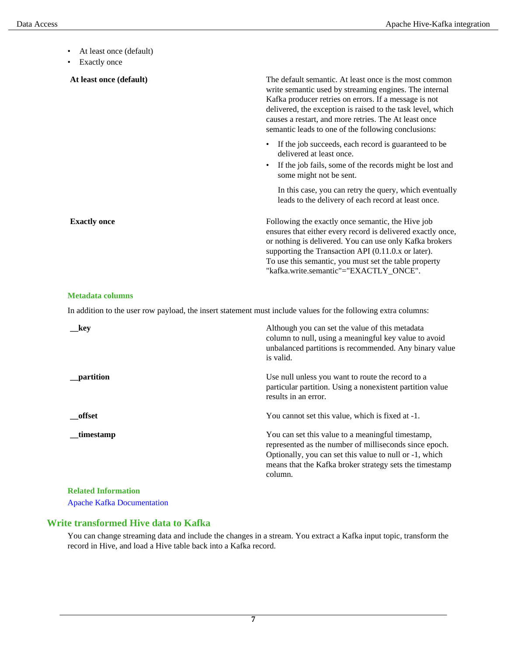- At least once (default)
- Exactly once

| At least once (default) | The default semantic. At least once is the most common<br>write semantic used by streaming engines. The internal<br>Kafka producer retries on errors. If a message is not<br>delivered, the exception is raised to the task level, which<br>causes a restart, and more retries. The At least once<br>semantic leads to one of the following conclusions: |
|-------------------------|----------------------------------------------------------------------------------------------------------------------------------------------------------------------------------------------------------------------------------------------------------------------------------------------------------------------------------------------------------|
|                         | If the job succeeds, each record is guaranteed to be<br>$\bullet$<br>delivered at least once.<br>If the job fails, some of the records might be lost and<br>$\bullet$<br>some might not be sent.                                                                                                                                                         |
|                         | In this case, you can retry the query, which eventually<br>leads to the delivery of each record at least once.                                                                                                                                                                                                                                           |
| <b>Exactly once</b>     | Following the exactly once semantic, the Hive job<br>ensures that either every record is delivered exactly once,<br>or nothing is delivered. You can use only Kafka brokers<br>supporting the Transaction API (0.11.0.x or later).<br>To use this semantic, you must set the table property<br>"kafka.write.semantic"="EXACTLY_ONCE".                    |

#### **Metadata columns**

In addition to the user row payload, the insert statement must include values for the following extra columns:

| kev                        | Although you can set the value of this metadata<br>column to null, using a meaningful key value to avoid<br>unbalanced partitions is recommended. Any binary value<br>is valid.                                                              |
|----------------------------|----------------------------------------------------------------------------------------------------------------------------------------------------------------------------------------------------------------------------------------------|
| partition                  | Use null unless you want to route the record to a<br>particular partition. Using a nonexistent partition value<br>results in an error.                                                                                                       |
| offset                     | You cannot set this value, which is fixed at -1.                                                                                                                                                                                             |
| _timestamp                 | You can set this value to a meaningful timestamp,<br>represented as the number of milliseconds since epoch.<br>Optionally, you can set this value to null or -1, which<br>means that the Kafka broker strategy sets the timestamp<br>column. |
| <b>Related Information</b> |                                                                                                                                                                                                                                              |

[Apache Kafka Documentation](https://kafka.apache.org/0110/documentation.html)

### <span id="page-6-0"></span>**Write transformed Hive data to Kafka**

You can change streaming data and include the changes in a stream. You extract a Kafka input topic, transform the record in Hive, and load a Hive table back into a Kafka record.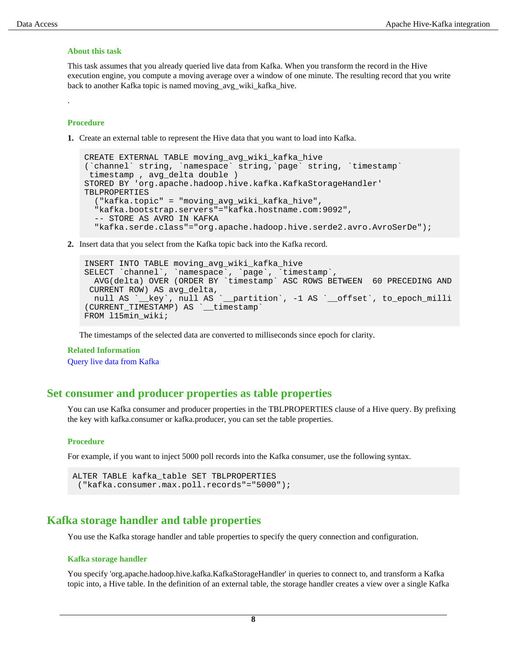#### **About this task**

This task assumes that you already queried live data from Kafka. When you transform the record in the Hive execution engine, you compute a moving average over a window of one minute. The resulting record that you write back to another Kafka topic is named moving\_avg\_wiki\_kafka\_hive.

#### **Procedure**

.

**1.** Create an external table to represent the Hive data that you want to load into Kafka.

```
CREATE EXTERNAL TABLE moving_avg_wiki_kafka_hive 
(`channel` string, `namespace` string,`page` string, `timestamp`
 timestamp , avg_delta double )
STORED BY 'org.apache.hadoop.hive.kafka.KafkaStorageHandler'
TBLPROPERTIES
   ("kafka.topic" = "moving_avg_wiki_kafka_hive",
   "kafka.bootstrap.servers"="kafka.hostname.com:9092",
   -- STORE AS AVRO IN KAFKA
   "kafka.serde.class"="org.apache.hadoop.hive.serde2.avro.AvroSerDe");
```
**2.** Insert data that you select from the Kafka topic back into the Kafka record.

```
INSERT INTO TABLE moving_avg_wiki_kafka_hive 
SELECT `channel`, `namespace`, `page`, `timestamp`, 
  AVG(delta) OVER (ORDER BY `timestamp` ASC ROWS BETWEEN 60 PRECEDING AND
  CURRENT ROW) AS avg_delta, 
 null AS `_key`, null AS `_partition`, -1 AS `_offset`, to_epoch_milli
(CURRENT_TIMESTAMP) AS `__timestamp`
FROM 115min wiki;
```
The timestamps of the selected data are converted to milliseconds since epoch for clarity.

#### **Related Information**

[Query live data from Kafka](#page-3-1)

### <span id="page-7-0"></span>**Set consumer and producer properties as table properties**

You can use Kafka consumer and producer properties in the TBLPROPERTIES clause of a Hive query. By prefixing the key with kafka.consumer or kafka.producer, you can set the table properties.

#### **Procedure**

For example, if you want to inject 5000 poll records into the Kafka consumer, use the following syntax.

```
ALTER TABLE kafka_table SET TBLPROPERTIES
  ("kafka.consumer.max.poll.records"="5000");
```
### <span id="page-7-1"></span>**Kafka storage handler and table properties**

You use the Kafka storage handler and table properties to specify the query connection and configuration.

#### **Kafka storage handler**

You specify 'org.apache.hadoop.hive.kafka.KafkaStorageHandler' in queries to connect to, and transform a Kafka topic into, a Hive table. In the definition of an external table, the storage handler creates a view over a single Kafka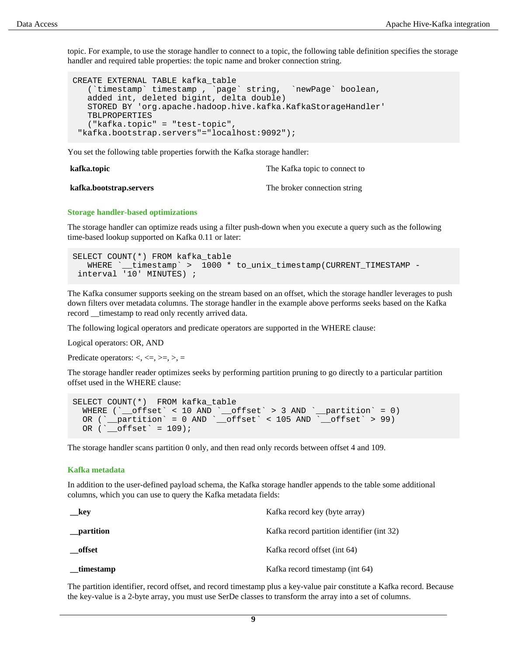topic. For example, to use the storage handler to connect to a topic, the following table definition specifies the storage handler and required table properties: the topic name and broker connection string.

```
CREATE EXTERNAL TABLE kafka_table
    (`timestamp` timestamp , `page` string, `newPage` boolean, 
    added int, deleted bigint, delta double)
    STORED BY 'org.apache.hadoop.hive.kafka.KafkaStorageHandler'
   TBLPROPERTIES
    ("kafka.topic" = "test-topic",
  "kafka.bootstrap.servers"="localhost:9092");
```
You set the following table properties forwith the Kafka storage handler:

**kafka.topic** The Kafka topic to connect to

| kafka.bootstrap.servers | The broker connection string |
|-------------------------|------------------------------|
|-------------------------|------------------------------|

#### **Storage handler-based optimizations**

The storage handler can optimize reads using a filter push-down when you execute a query such as the following time-based lookup supported on Kafka 0.11 or later:

```
SELECT COUNT(*) FROM kafka_table 
  WHERE `_timestamp` > 1000 * to_unix_timestamp(CURRENT_TIMESTAMP -
  interval '10' MINUTES) ;
```
The Kafka consumer supports seeking on the stream based on an offset, which the storage handler leverages to push down filters over metadata columns. The storage handler in the example above performs seeks based on the Kafka record \_\_timestamp to read only recently arrived data.

The following logical operators and predicate operators are supported in the WHERE clause:

Logical operators: OR, AND

Predicate operators:  $\lt$ ,  $\lt$   $\lt$   $\lt$ ,  $\gt$ ,  $\gt$ ,  $\gt$ ,  $\gt$ 

The storage handler reader optimizes seeks by performing partition pruning to go directly to a particular partition offset used in the WHERE clause:

```
SELECT COUNT(*) FROM kafka_table 
 WHERE (`__offset` < 10 AND `__offset` > 3 AND `__partition` = 0) 
 OR (`__partition` = 0 AND `__offset` < 105 AND `__offset` > 99) 
 OR ('__offset' = 109);
```
The storage handler scans partition 0 only, and then read only records between offset 4 and 109.

#### **Kafka metadata**

In addition to the user-defined payload schema, the Kafka storage handler appends to the table some additional columns, which you can use to query the Kafka metadata fields:

| __key       | Kafka record key (byte array)              |
|-------------|--------------------------------------------|
| __partition | Kafka record partition identifier (int 32) |
| offset      | Kafka record offset (int 64)               |
| timestamp   | Kafka record timestamp (int 64)            |

The partition identifier, record offset, and record timestamp plus a key-value pair constitute a Kafka record. Because the key-value is a 2-byte array, you must use SerDe classes to transform the array into a set of columns.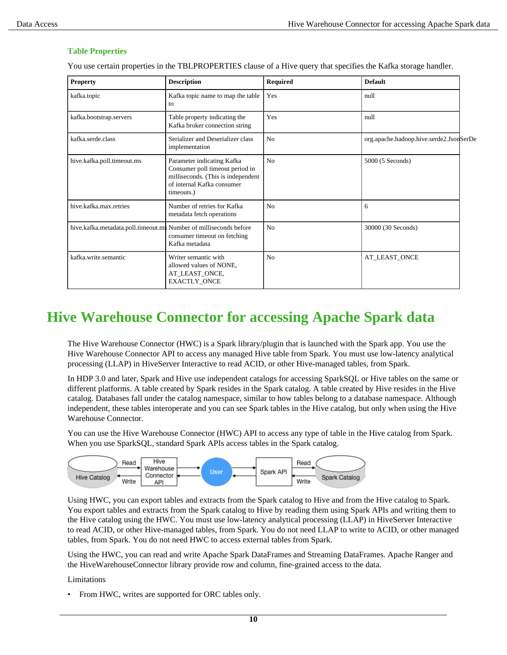#### **Table Properties**

You use certain properties in the TBLPROPERTIES clause of a Hive query that specifies the Kafka storage handler.

| <b>Property</b>                                                   | <b>Description</b>                                                                                                                              | <b>Required</b> | <b>Default</b>                          |
|-------------------------------------------------------------------|-------------------------------------------------------------------------------------------------------------------------------------------------|-----------------|-----------------------------------------|
| kafka.topic                                                       | Kafka topic name to map the table<br>to                                                                                                         | Yes             | null                                    |
| kafka.bootstrap.servers                                           | Table property indicating the<br>Kafka broker connection string                                                                                 | Yes             | null                                    |
| kafka.serde.class                                                 | Serializer and Deserializer class<br>implementation                                                                                             | N <sub>0</sub>  | org.apache.hadoop.hive.serde2.JsonSerDe |
| hive.kafka.poll.timeout.ms                                        | Parameter indicating Kafka<br>Consumer poll timeout period in<br>milliseconds. (This is independent<br>of internal Kafka consumer<br>timeouts.) | No              | 5000 (5 Seconds)                        |
| hive.kafka.max.retries                                            | Number of retries for Kafka<br>metadata fetch operations                                                                                        | N <sub>0</sub>  | 6                                       |
| hive.kafka.metadata.poll.timeout.ms Number of milliseconds before | consumer timeout on fetching<br>Kafka metadata                                                                                                  | No              | 30000 (30 Seconds)                      |
| kafka.write.semantic                                              | Writer semantic with<br>allowed values of NONE,<br>AT_LEAST_ONCE,<br>EXACTLY_ONCE                                                               | N <sub>0</sub>  | AT_LEAST_ONCE                           |

## <span id="page-9-0"></span>**Hive Warehouse Connector for accessing Apache Spark data**

The Hive Warehouse Connector (HWC) is a Spark library/plugin that is launched with the Spark app. You use the Hive Warehouse Connector API to access any managed Hive table from Spark. You must use low-latency analytical processing (LLAP) in HiveServer Interactive to read ACID, or other Hive-managed tables, from Spark.

In HDP 3.0 and later, Spark and Hive use independent catalogs for accessing SparkSQL or Hive tables on the same or different platforms. A table created by Spark resides in the Spark catalog. A table created by Hive resides in the Hive catalog. Databases fall under the catalog namespace, similar to how tables belong to a database namespace. Although independent, these tables interoperate and you can see Spark tables in the Hive catalog, but only when using the Hive Warehouse Connector.

You can use the Hive Warehouse Connector (HWC) API to access any type of table in the Hive catalog from Spark. When you use SparkSQL, standard Spark APIs access tables in the Spark catalog.



Using HWC, you can export tables and extracts from the Spark catalog to Hive and from the Hive catalog to Spark. You export tables and extracts from the Spark catalog to Hive by reading them using Spark APIs and writing them to the Hive catalog using the HWC. You must use low-latency analytical processing (LLAP) in HiveServer Interactive to read ACID, or other Hive-managed tables, from Spark. You do not need LLAP to write to ACID, or other managed tables, from Spark. You do not need HWC to access external tables from Spark.

Using the HWC, you can read and write Apache Spark DataFrames and Streaming DataFrames. Apache Ranger and the HiveWarehouseConnector library provide row and column, fine-grained access to the data.

Limitations

• From HWC, writes are supported for ORC tables only.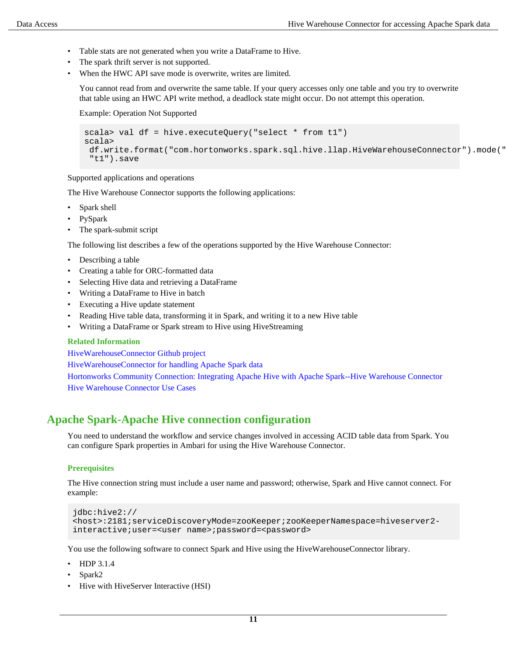- Table stats are not generated when you write a DataFrame to Hive.
- The spark thrift server is not supported.
- When the HWC API save mode is overwrite, writes are limited.

You cannot read from and overwrite the same table. If your query accesses only one table and you try to overwrite that table using an HWC API write method, a deadlock state might occur. Do not attempt this operation.

Example: Operation Not Supported

```
scala> val df = hive.executeQuery("select * from t1")
scala>
 df.write.format("com.hortonworks.spark.sql.hive.llap.HiveWarehouseConnector").mode("
  "t1").save
```
Supported applications and operations

The Hive Warehouse Connector supports the following applications:

- Spark shell
- PySpark
- The spark-submit script

The following list describes a few of the operations supported by the Hive Warehouse Connector:

- Describing a table
- Creating a table for ORC-formatted data
- Selecting Hive data and retrieving a DataFrame
- Writing a DataFrame to Hive in batch
- Executing a Hive update statement
- Reading Hive table data, transforming it in Spark, and writing it to a new Hive table
- Writing a DataFrame or Spark stream to Hive using HiveStreaming

#### **Related Information**

[HiveWarehouseConnector Github project](https://github.com/hortonworks-spark/spark-llap/tree/master)

[HiveWarehouseConnector for handling Apache Spark data](https://docs.hortonworks.com/HDPDocuments/HDP3/HDP-3.1.4/developing-spark-applications/content/using_spark_hive_warehouse_connector.html)

[Hortonworks Community Connection: Integrating Apache Hive with Apache Spark--Hive Warehouse Connector](https://community.hortonworks.com/content/kbentry/223626/integrating-apache-hive-with-apache-spark-hive-war.html) [Hive Warehouse Connector Use Cases](https://hortonworks.com/blog/hive-warehouse-connector-use-cases/)

## <span id="page-10-0"></span>**Apache Spark-Apache Hive connection configuration**

You need to understand the workflow and service changes involved in accessing ACID table data from Spark. You can configure Spark properties in Ambari for using the Hive Warehouse Connector.

#### **Prerequisites**

The Hive connection string must include a user name and password; otherwise, Spark and Hive cannot connect. For example:

```
jdbc:hive2://
<host>:2181;serviceDiscoveryMode=zooKeeper;zooKeeperNamespace=hiveserver2-
interactive;user=<user name>;password=<password>
```
You use the following software to connect Spark and Hive using the HiveWarehouseConnector library.

- HDP 3.1.4
- Spark2
- Hive with HiveServer Interactive (HSI)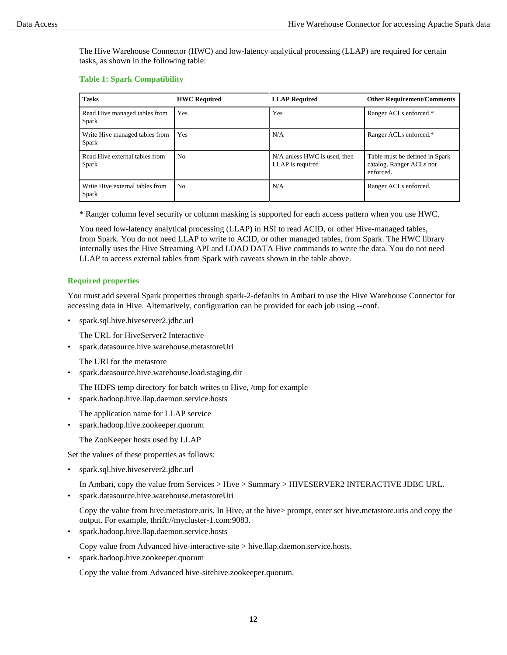The Hive Warehouse Connector (HWC) and low-latency analytical processing (LLAP) are required for certain tasks, as shown in the following table:

#### **Table 1: Spark Compatibility**

| <b>Tasks</b>                             | <b>HWC Required</b> | <b>LLAP</b> Required                             | <b>Other Requirement/Comments</b>                                       |
|------------------------------------------|---------------------|--------------------------------------------------|-------------------------------------------------------------------------|
| Read Hive managed tables from<br>Spark   | Yes                 | Yes                                              | Ranger ACLs enforced.*                                                  |
| Write Hive managed tables from<br>Spark  | Yes                 | N/A                                              | Ranger ACLs enforced.*                                                  |
| Read Hive external tables from<br>Spark  | N <sub>0</sub>      | N/A unless HWC is used, then<br>LLAP is required | Table must be defined in Spark<br>catalog. Ranger ACLs not<br>enforced. |
| Write Hive external tables from<br>Spark | N <sub>0</sub>      | N/A                                              | Ranger ACLs enforced.                                                   |

\* Ranger column level security or column masking is supported for each access pattern when you use HWC.

You need low-latency analytical processing (LLAP) in HSI to read ACID, or other Hive-managed tables, from Spark. You do not need LLAP to write to ACID, or other managed tables, from Spark. The HWC library internally uses the Hive Streaming API and LOAD DATA Hive commands to write the data. You do not need LLAP to access external tables from Spark with caveats shown in the table above.

#### **Required properties**

You must add several Spark properties through spark-2-defaults in Ambari to use the Hive Warehouse Connector for accessing data in Hive. Alternatively, configuration can be provided for each job using --conf.

• spark.sql.hive.hiveserver2.jdbc.url

The URL for HiveServer2 Interactive

• spark.datasource.hive.warehouse.metastoreUri

The URI for the metastore

• spark.datasource.hive.warehouse.load.staging.dir

The HDFS temp directory for batch writes to Hive, /tmp for example

• spark.hadoop.hive.llap.daemon.service.hosts

The application name for LLAP service

• spark.hadoop.hive.zookeeper.quorum

The ZooKeeper hosts used by LLAP

Set the values of these properties as follows:

• spark.sql.hive.hiveserver2.jdbc.url

In Ambari, copy the value from Services > Hive > Summary > HIVESERVER2 INTERACTIVE JDBC URL.

• spark.datasource.hive.warehouse.metastoreUri

Copy the value from hive.metastore.uris. In Hive, at the hive> prompt, enter set hive.metastore.uris and copy the output. For example, thrift://mycluster-1.com:9083.

• spark.hadoop.hive.llap.daemon.service.hosts

Copy value from Advanced hive-interactive-site > hive.llap.daemon.service.hosts.

• spark.hadoop.hive.zookeeper.quorum

Copy the value from Advanced hive-sitehive.zookeeper.quorum.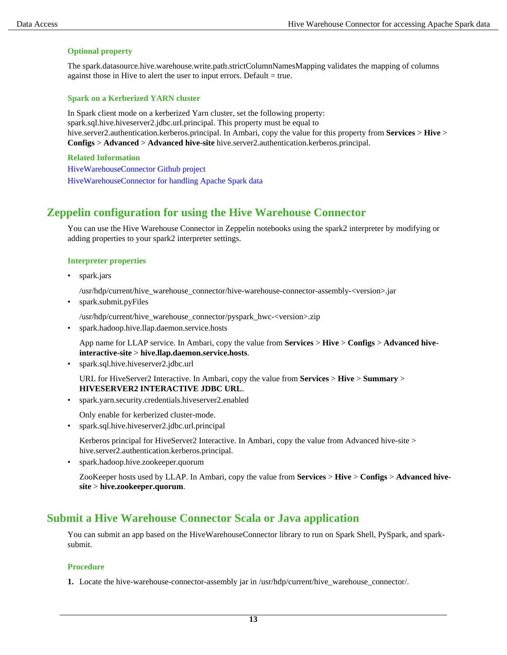#### **Optional property**

The spark.datasource.hive.warehouse.write.path.strictColumnNamesMapping validates the mapping of columns against those in Hive to alert the user to input errors. Default  $=$  true.

#### **Spark on a Kerberized YARN cluster**

In Spark client mode on a kerberized Yarn cluster, set the following property: spark.sql.hive.hiveserver2.jdbc.url.principal. This property must be equal to hive.server2.authentication.kerberos.principal. In Ambari, copy the value for this property from **Services** > **Hive** > **Configs** > **Advanced** > **Advanced hive-site** hive.server2.authentication.kerberos.principal.

**Related Information** [HiveWarehouseConnector Github project](https://github.com/hortonworks-spark/spark-llap/tree/master) [HiveWarehouseConnector for handling Apache Spark data](https://docs.hortonworks.com/HDPDocuments/HDP3/HDP-3.1.4/developing-spark-applications/content/using_spark_hive_warehouse_connector.html)

## <span id="page-12-0"></span>**Zeppelin configuration for using the Hive Warehouse Connector**

You can use the Hive Warehouse Connector in Zeppelin notebooks using the spark2 interpreter by modifying or adding properties to your spark2 interpreter settings.

#### **Interpreter properties**

• spark.jars

/usr/hdp/current/hive\_warehouse\_connector/hive-warehouse-connector-assembly-<version>.jar

• spark.submit.pyFiles

/usr/hdp/current/hive\_warehouse\_connector/pyspark\_hwc-<version>.zip

• spark.hadoop.hive.llap.daemon.service.hosts

App name for LLAP service. In Ambari, copy the value from **Services** > **Hive** > **Configs** > **Advanced hiveinteractive-site** > **hive.llap.daemon.service.hosts**.

• spark.sql.hive.hiveserver2.jdbc.url

URL for HiveServer2 Interactive. In Ambari, copy the value from **Services** > **Hive** > **Summary** > **HIVESERVER2 INTERACTIVE JDBC URL**.

• spark.yarn.security.credentials.hiveserver2.enabled

Only enable for kerberized cluster-mode.

• spark.sql.hive.hiveserver2.jdbc.url.principal

Kerberos principal for HiveServer2 Interactive. In Ambari, copy the value from Advanced hive-site > hive.server2.authentication.kerberos.principal.

• spark.hadoop.hive.zookeeper.quorum

ZooKeeper hosts used by LLAP. In Ambari, copy the value from **Services** > **Hive** > **Configs** > **Advanced hivesite** > **hive.zookeeper.quorum**.

## <span id="page-12-1"></span>**Submit a Hive Warehouse Connector Scala or Java application**

You can submit an app based on the HiveWarehouseConnector library to run on Spark Shell, PySpark, and sparksubmit.

#### **Procedure**

**1.** Locate the hive-warehouse-connector-assembly jar in /usr/hdp/current/hive\_warehouse\_connector/.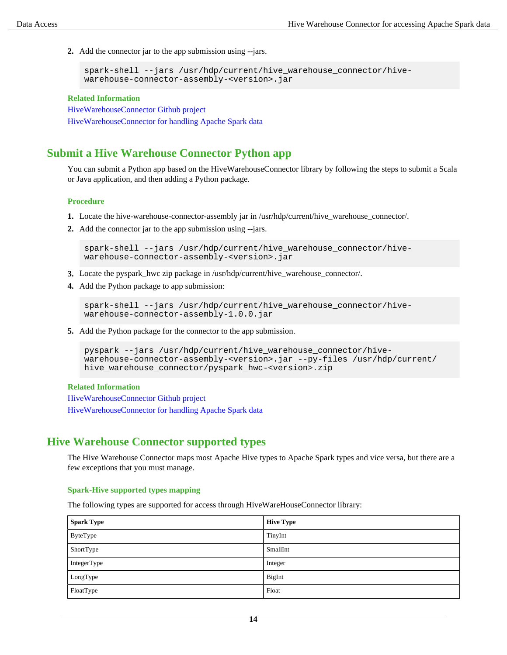**2.** Add the connector jar to the app submission using --jars.

```
spark-shell --jars /usr/hdp/current/hive_warehouse_connector/hive-
warehouse-connector-assembly-<version>.jar
```
#### **Related Information**

[HiveWarehouseConnector Github project](https://github.com/hortonworks-spark/spark-llap/tree/master) [HiveWarehouseConnector for handling Apache Spark data](https://docs.hortonworks.com/HDPDocuments/HDP3/HDP-3.1.4/developing-spark-applications/content/using_spark_hive_warehouse_connector.html)

## <span id="page-13-0"></span>**Submit a Hive Warehouse Connector Python app**

You can submit a Python app based on the HiveWarehouseConnector library by following the steps to submit a Scala or Java application, and then adding a Python package.

#### **Procedure**

- **1.** Locate the hive-warehouse-connector-assembly jar in /usr/hdp/current/hive\_warehouse\_connector/.
- **2.** Add the connector jar to the app submission using --jars.

```
spark-shell --jars /usr/hdp/current/hive_warehouse_connector/hive-
warehouse-connector-assembly-<version>.jar
```
- **3.** Locate the pyspark\_hwc zip package in /usr/hdp/current/hive\_warehouse\_connector/.
- **4.** Add the Python package to app submission:

```
spark-shell --jars /usr/hdp/current/hive_warehouse_connector/hive-
warehouse-connector-assembly-1.0.0.jar
```
**5.** Add the Python package for the connector to the app submission.

```
pyspark --jars /usr/hdp/current/hive_warehouse_connector/hive-
warehouse-connector-assembly-<version>.jar --py-files /usr/hdp/current/
hive_warehouse_connector/pyspark_hwc-<version>.zip
```
#### **Related Information**

[HiveWarehouseConnector Github project](https://github.com/hortonworks-spark/spark-llap/tree/master) [HiveWarehouseConnector for handling Apache Spark data](https://docs.hortonworks.com/HDPDocuments/HDP3/HDP-3.1.4/developing-spark-applications/content/using_spark_hive_warehouse_connector.html)

## <span id="page-13-1"></span>**Hive Warehouse Connector supported types**

The Hive Warehouse Connector maps most Apache Hive types to Apache Spark types and vice versa, but there are a few exceptions that you must manage.

#### **Spark-Hive supported types mapping**

The following types are supported for access through HiveWareHouseConnector library:

| <b>Spark Type</b> | <b>Hive Type</b> |
|-------------------|------------------|
| ByteType          | TinyInt          |
| ShortType         | SmallInt         |
| IntegerType       | Integer          |
| LongType          | BigInt           |
| FloatType         | Float            |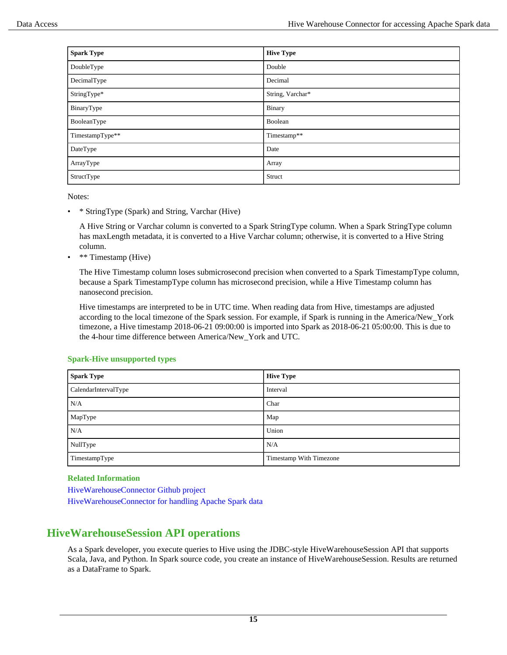| <b>Spark Type</b> | <b>Hive Type</b> |
|-------------------|------------------|
| DoubleType        | Double           |
| DecimalType       | Decimal          |
| StringType*       | String, Varchar* |
| BinaryType        | Binary           |
| BooleanType       | Boolean          |
| TimestampType**   | Timestamp**      |
| DateType          | Date             |
| ArrayType         | Array            |
| StructType        | Struct           |

Notes:

• \* StringType (Spark) and String, Varchar (Hive)

A Hive String or Varchar column is converted to a Spark StringType column. When a Spark StringType column has maxLength metadata, it is converted to a Hive Varchar column; otherwise, it is converted to a Hive String column.

• \*\* Timestamp (Hive)

The Hive Timestamp column loses submicrosecond precision when converted to a Spark TimestampType column, because a Spark TimestampType column has microsecond precision, while a Hive Timestamp column has nanosecond precision.

Hive timestamps are interpreted to be in UTC time. When reading data from Hive, timestamps are adjusted according to the local timezone of the Spark session. For example, if Spark is running in the America/New\_York timezone, a Hive timestamp 2018-06-21 09:00:00 is imported into Spark as 2018-06-21 05:00:00. This is due to the 4-hour time difference between America/New\_York and UTC.

| <b>Spark Type</b>    | <b>Hive Type</b>        |
|----------------------|-------------------------|
| CalendarIntervalType | Interval                |
| N/A                  | Char                    |
| MapType              | Map                     |
| N/A                  | Union                   |
| NullType             | N/A                     |
| TimestampType        | Timestamp With Timezone |

#### **Spark-Hive unsupported types**

#### **Related Information**

[HiveWarehouseConnector Github project](https://github.com/hortonworks-spark/spark-llap/tree/master)

[HiveWarehouseConnector for handling Apache Spark data](https://docs.hortonworks.com/HDPDocuments/HDP3/HDP-3.1.4/developing-spark-applications/content/using_spark_hive_warehouse_connector.html)

## <span id="page-14-0"></span>**HiveWarehouseSession API operations**

As a Spark developer, you execute queries to Hive using the JDBC-style HiveWarehouseSession API that supports Scala, Java, and Python. In Spark source code, you create an instance of HiveWarehouseSession. Results are returned as a DataFrame to Spark.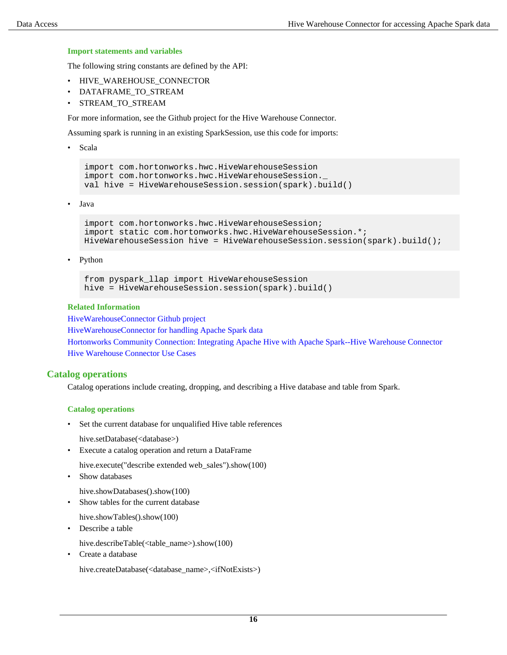#### **Import statements and variables**

The following string constants are defined by the API:

- HIVE\_WAREHOUSE\_CONNECTOR
- DATAFRAME\_TO\_STREAM
- STREAM\_TO\_STREAM

For more information, see the Github project for the Hive Warehouse Connector.

Assuming spark is running in an existing SparkSession, use this code for imports:

• Scala

```
import com.hortonworks.hwc.HiveWarehouseSession
import com.hortonworks.hwc.HiveWarehouseSession._
val hive = HiveWarehouseSession.session(spark).build()
```
• Java

```
import com.hortonworks.hwc.HiveWarehouseSession;
import static com.hortonworks.hwc.HiveWarehouseSession.*;
HiveWarehouseSession hive = HiveWarehouseSession.session(spark).build();
```
• Python

```
from pyspark_llap import HiveWarehouseSession
hive = HiveWarehouseSession.session(spark).build()
```
#### **Related Information**

[HiveWarehouseConnector Github project](https://github.com/hortonworks-spark/spark-llap/tree/master)

[HiveWarehouseConnector for handling Apache Spark data](https://docs.hortonworks.com/HDPDocuments/HDP3/HDP-3.1.4/developing-spark-applications/content/using_spark_hive_warehouse_connector.html)

[Hortonworks Community Connection: Integrating Apache Hive with Apache Spark--Hive Warehouse Connector](https://community.hortonworks.com/content/kbentry/223626/integrating-apache-hive-with-apache-spark-hive-war.html) [Hive Warehouse Connector Use Cases](https://hortonworks.com/blog/hive-warehouse-connector-use-cases/)

#### <span id="page-15-0"></span>**Catalog operations**

Catalog operations include creating, dropping, and describing a Hive database and table from Spark.

#### **Catalog operations**

• Set the current database for unqualified Hive table references

hive.setDatabase(<database>)

• Execute a catalog operation and return a DataFrame

hive.execute("describe extended web sales").show(100)

Show databases

hive.showDatabases().show(100)

- Show tables for the current database
- hive.showTables().show(100)
- Describe a table

hive.describeTable(<table\_name>).show(100)

• Create a database

hive.createDatabase(<database\_name>,<ifNotExists>)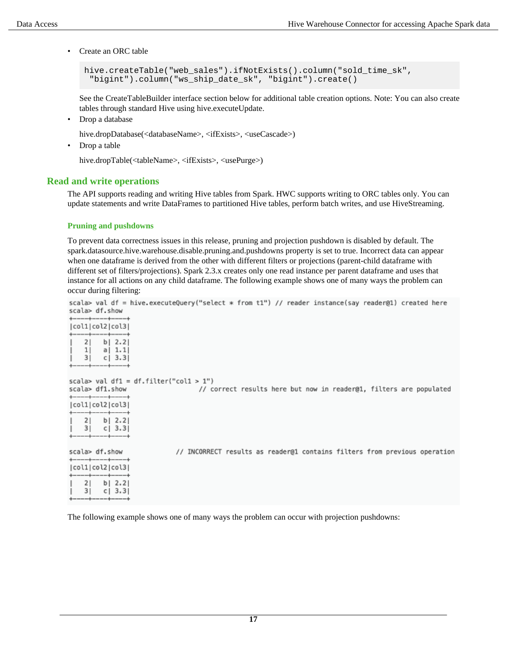• Create an ORC table

```
hive.createTable("web_sales").ifNotExists().column("sold_time_sk",
  "bigint").column("ws_ship_date_sk", "bigint").create()
```
See the CreateTableBuilder interface section below for additional table creation options. Note: You can also create tables through standard Hive using hive.executeUpdate.

• Drop a database

hive.dropDatabase(<databaseName>, <ifExists>, <useCascade>)

• Drop a table

hive.dropTable(<tableName>, <ifExists>, <usePurge>)

#### <span id="page-16-0"></span>**Read and write operations**

The API supports reading and writing Hive tables from Spark. HWC supports writing to ORC tables only. You can update statements and write DataFrames to partitioned Hive tables, perform batch writes, and use HiveStreaming.

#### **Pruning and pushdowns**

To prevent data correctness issues in this release, pruning and projection pushdown is disabled by default. The spark.datasource.hive.warehouse.disable.pruning.and.pushdowns property is set to true. Incorrect data can appear when one dataframe is derived from the other with different filters or projections (parent-child dataframe with different set of filters/projections). Spark 2.3.x creates only one read instance per parent dataframe and uses that instance for all actions on any child dataframe. The following example shows one of many ways the problem can occur during filtering:

|                |  |  |  |  |  |  | scala> val df = hive.executeQuery("select * from t1") // reader instance(say reader@1) created here |  |
|----------------|--|--|--|--|--|--|-----------------------------------------------------------------------------------------------------|--|
| scala> df.show |  |  |  |  |  |  |                                                                                                     |  |

| +----+----+----+<br> col1 col2 col3 |   |                                                  |
|-------------------------------------|---|--------------------------------------------------|
| 21<br>ı<br>11<br>ı<br>31<br>ı       | c | ----+----+----+<br>$b$   2.2 <br>a  1.1 <br>3.31 |

scala> val df1 = df.filter("col1 > 1") // correct results here but now in reader@1, filters are populated scala> df1.show  $-+ - - - + -$ |col1|col2|col3|  $b | 2.2|$  $21$  $c$  | 3.3  $3|$ scala> df.show // INCORRECT results as reader@1 contains filters from previous operation -+----+-|col1|col2|col3|  $2|$  $b$ | 2.2|  $3|$  $c$ | 3.3|

The following example shows one of many ways the problem can occur with projection pushdowns: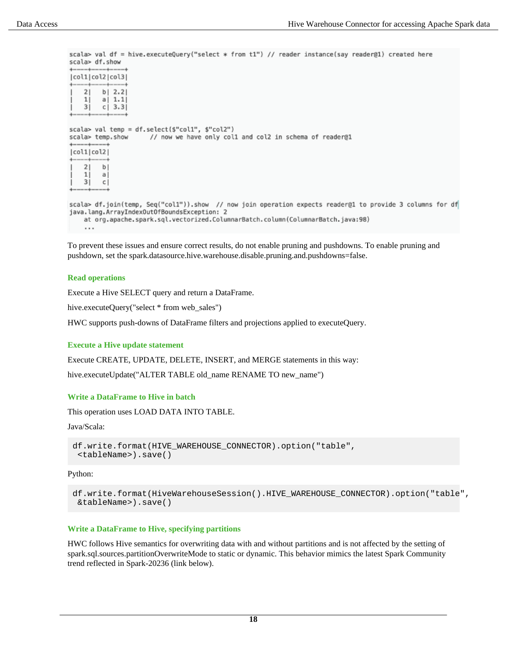scala> val df = hive.executeQuery("select \* from t1") // reader instance(say reader@1) created here scala> df.show

| +----+----+----+              |    | col1 col2 col3 <br>-----+---------  |
|-------------------------------|----|-------------------------------------|
| 21<br>ı<br>ı<br>11<br>31<br>ı | сI | $b$   2.2<br>a   1.1 <br>3.3<br>--+ |

```
scala> val temp = df.select($"col1", $"col2")
scala> temp.show
                       // now we have only col1 and col2 in schema of reader@1
|col1|col2|2|b
    \mathbf{1}a
    \overline{3}1\mathbb Cscala> df.join(temp, Seq("coll")).show // now join operation expects reader@1 to provide 3 columns for df
java.lang.ArrayIndexOutOfBoundsException: 2
    at org.apache.spark.sql.vectorized.ColumnarBatch.column(ColumnarBatch.java:98)
```
 $\cdots$ 

To prevent these issues and ensure correct results, do not enable pruning and pushdowns. To enable pruning and pushdown, set the spark.datasource.hive.warehouse.disable.pruning.and.pushdowns=false.

#### **Read operations**

Execute a Hive SELECT query and return a DataFrame.

hive.executeQuery("select \* from web\_sales")

HWC supports push-downs of DataFrame filters and projections applied to executeQuery.

#### **Execute a Hive update statement**

Execute CREATE, UPDATE, DELETE, INSERT, and MERGE statements in this way:

hive.executeUpdate("ALTER TABLE old\_name RENAME TO new\_name")

#### **Write a DataFrame to Hive in batch**

This operation uses LOAD DATA INTO TABLE.

Java/Scala:

```
df.write.format(HIVE_WAREHOUSE_CONNECTOR).option("table",
  <tableName>).save()
```
Python:

```
df.write.format(HiveWarehouseSession().HIVE_WAREHOUSE_CONNECTOR).option("table",
  &tableName>).save()
```
#### **Write a DataFrame to Hive, specifying partitions**

HWC follows Hive semantics for overwriting data with and without partitions and is not affected by the setting of spark.sql.sources.partitionOverwriteMode to static or dynamic. This behavior mimics the latest Spark Community trend reflected in Spark-20236 (link below).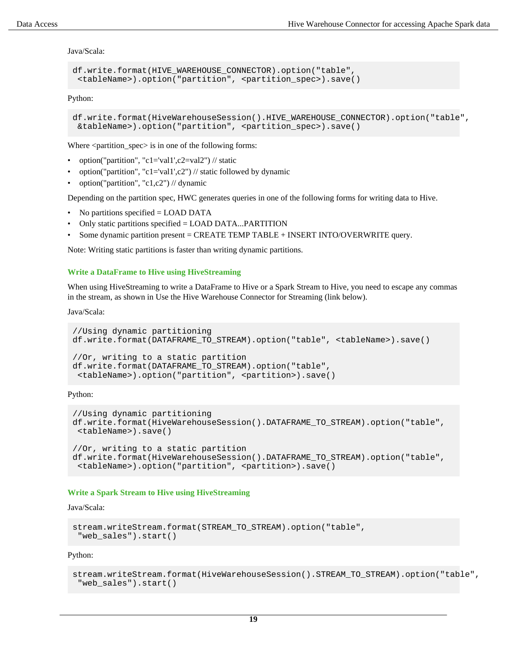Java/Scala:

```
df.write.format(HIVE_WAREHOUSE_CONNECTOR).option("table",
  <tableName>).option("partition", <partition_spec>).save()
```
Python:

```
df.write.format(HiveWarehouseSession().HIVE_WAREHOUSE_CONNECTOR).option("table",
 &tableName>).option("partition", <partition_spec>).save()
```
Where <partition\_spec> is in one of the following forms:

- option("partition", "c1='val1',c2=val2") // static
- option("partition", "c1='val1',c2") // static followed by dynamic
- option("partition", "c1,c2") // dynamic

Depending on the partition spec, HWC generates queries in one of the following forms for writing data to Hive.

- No partitions specified = LOAD DATA
- Only static partitions specified = LOAD DATA...PARTITION
- Some dynamic partition present = CREATE TEMP TABLE + INSERT INTO/OVERWRITE query.

Note: Writing static partitions is faster than writing dynamic partitions.

#### **Write a DataFrame to Hive using HiveStreaming**

When using HiveStreaming to write a DataFrame to Hive or a Spark Stream to Hive, you need to escape any commas in the stream, as shown in Use the Hive Warehouse Connector for Streaming (link below).

Java/Scala:

```
//Using dynamic partitioning
df.write.format(DATAFRAME_TO_STREAM).option("table", <tableName>).save()
//Or, writing to a static partition
df.write.format(DATAFRAME_TO_STREAM).option("table",
  <tableName>).option("partition", <partition>).save()
```
Python:

```
//Using dynamic partitioning
df.write.format(HiveWarehouseSession().DATAFRAME_TO_STREAM).option("table",
  <tableName>).save()
//Or, writing to a static partition
df.write.format(HiveWarehouseSession().DATAFRAME_TO_STREAM).option("table",
  <tableName>).option("partition", <partition>).save()
```
#### **Write a Spark Stream to Hive using HiveStreaming**

Java/Scala:

```
stream.writeStream.format(STREAM_TO_STREAM).option("table",
  "web_sales").start()
```
Python:

```
stream.writeStream.format(HiveWarehouseSession().STREAM_TO_STREAM).option("table",
  "web_sales").start()
```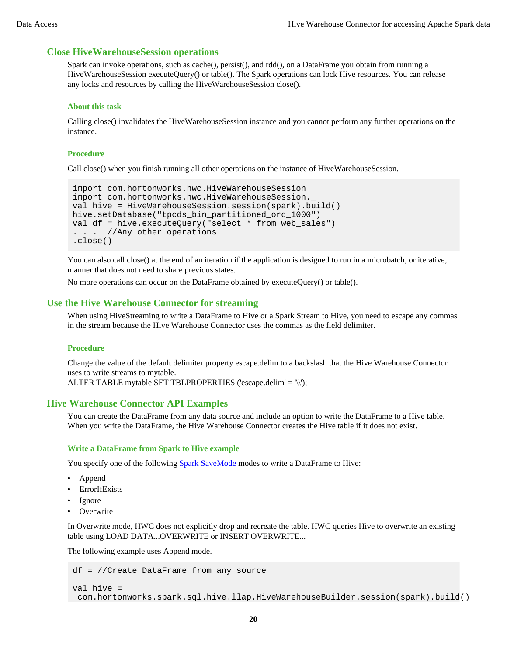#### <span id="page-19-0"></span>**Close HiveWarehouseSession operations**

Spark can invoke operations, such as cache(), persist(), and rdd(), on a DataFrame you obtain from running a HiveWarehouseSession executeQuery() or table(). The Spark operations can lock Hive resources. You can release any locks and resources by calling the HiveWarehouseSession close().

#### **About this task**

Calling close() invalidates the HiveWarehouseSession instance and you cannot perform any further operations on the instance.

#### **Procedure**

Call close() when you finish running all other operations on the instance of HiveWarehouseSession.

```
import com.hortonworks.hwc.HiveWarehouseSession
import com.hortonworks.hwc.HiveWarehouseSession._
val hive = HiveWarehouseSession.session(spark).build()
hive.setDatabase("tpcds_bin_partitioned_orc_1000")
val df = hive.executeQuery("select * from web_sales")
. . . //Any other operations
.close()
```
You can also call close() at the end of an iteration if the application is designed to run in a microbatch, or iterative, manner that does not need to share previous states.

No more operations can occur on the DataFrame obtained by executeQuery() or table().

#### <span id="page-19-1"></span>**Use the Hive Warehouse Connector for streaming**

When using HiveStreaming to write a DataFrame to Hive or a Spark Stream to Hive, you need to escape any commas in the stream because the Hive Warehouse Connector uses the commas as the field delimiter.

#### **Procedure**

Change the value of the default delimiter property escape.delim to a backslash that the Hive Warehouse Connector uses to write streams to mytable. ALTER TABLE mytable SET TBLPROPERTIES ('escape.delim' = '\\');

#### <span id="page-19-2"></span>**Hive Warehouse Connector API Examples**

You can create the DataFrame from any data source and include an option to write the DataFrame to a Hive table. When you write the DataFrame, the Hive Warehouse Connector creates the Hive table if it does not exist.

#### **Write a DataFrame from Spark to Hive example**

You specify one of the following [Spark SaveMode](https://spark.apache.org/docs/2.3.1/api/java/org/apache/spark/sql/SaveMode.html) modes to write a DataFrame to Hive:

- Append
- ErrorIfExists
- Ignore
- Overwrite

In Overwrite mode, HWC does not explicitly drop and recreate the table. HWC queries Hive to overwrite an existing table using LOAD DATA...OVERWRITE or INSERT OVERWRITE...

The following example uses Append mode.

```
df = //Create DataFrame from any source
```

```
val hive =
 com.hortonworks.spark.sql.hive.llap.HiveWarehouseBuilder.session(spark).build()
```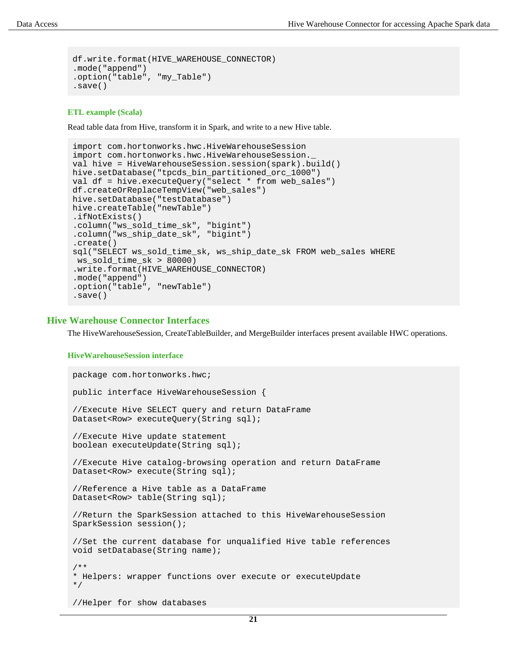```
df.write.format(HIVE_WAREHOUSE_CONNECTOR)
.mode("append")
.option("table", "my_Table")
.save()
```
#### **ETL example (Scala)**

Read table data from Hive, transform it in Spark, and write to a new Hive table.

```
import com.hortonworks.hwc.HiveWarehouseSession
import com.hortonworks.hwc.HiveWarehouseSession._
val hive = HiveWarehouseSession.session(spark).build()
hive.setDatabase("tpcds_bin_partitioned_orc_1000")
val df = hive.executeQuery("select * from web_sales")
df.createOrReplaceTempView("web_sales")
hive.setDatabase("testDatabase")
hive.createTable("newTable")
.ifNotExists()
.column("ws_sold_time_sk", "bigint")
.column("ws_ship_date_sk", "bigint")
.create()
sql("SELECT ws_sold_time_sk, ws_ship_date_sk FROM web_sales WHERE
 ws_sold_time_sk > 80000)
.write.format(HIVE_WAREHOUSE_CONNECTOR)
.mode("append")
.option("table", "newTable")
.save()
```
#### <span id="page-20-0"></span>**Hive Warehouse Connector Interfaces**

The HiveWarehouseSession, CreateTableBuilder, and MergeBuilder interfaces present available HWC operations.

#### **HiveWarehouseSession interface**

```
package com.hortonworks.hwc;
public interface HiveWarehouseSession {
//Execute Hive SELECT query and return DataFrame
Dataset<Row> executeQuery(String sql);
//Execute Hive update statement
boolean executeUpdate(String sql);
//Execute Hive catalog-browsing operation and return DataFrame
Dataset<Row> execute(String sql);
//Reference a Hive table as a DataFrame
Dataset<Row> table(String sql);
//Return the SparkSession attached to this HiveWarehouseSession
SparkSession session();
//Set the current database for unqualified Hive table references
void setDatabase(String name);
/**
* Helpers: wrapper functions over execute or executeUpdate
*/
```
//Helper for show databases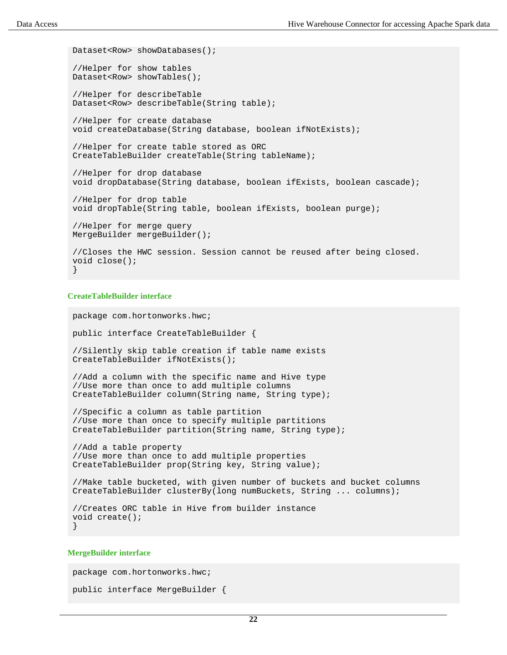```
Dataset<Row> showDatabases();
//Helper for show tables
Dataset<Row> showTables();
//Helper for describeTable
Dataset<Row> describeTable(String table);
//Helper for create database
void createDatabase(String database, boolean ifNotExists);
//Helper for create table stored as ORC
CreateTableBuilder createTable(String tableName);
//Helper for drop database
void dropDatabase(String database, boolean ifExists, boolean cascade);
//Helper for drop table
void dropTable(String table, boolean ifExists, boolean purge);
//Helper for merge query
MergeBuilder mergeBuilder();
//Closes the HWC session. Session cannot be reused after being closed.
void close();
}
```
#### **CreateTableBuilder interface**

```
package com.hortonworks.hwc;
public interface CreateTableBuilder {
```

```
//Silently skip table creation if table name exists
CreateTableBuilder ifNotExists();
```
//Add a column with the specific name and Hive type //Use more than once to add multiple columns CreateTableBuilder column(String name, String type);

//Specific a column as table partition //Use more than once to specify multiple partitions CreateTableBuilder partition(String name, String type);

//Add a table property //Use more than once to add multiple properties CreateTableBuilder prop(String key, String value);

```
//Make table bucketed, with given number of buckets and bucket columns
CreateTableBuilder clusterBy(long numBuckets, String ... columns);
```

```
//Creates ORC table in Hive from builder instance
void create();
}
```
#### **MergeBuilder interface**

package com.hortonworks.hwc;

```
public interface MergeBuilder {
```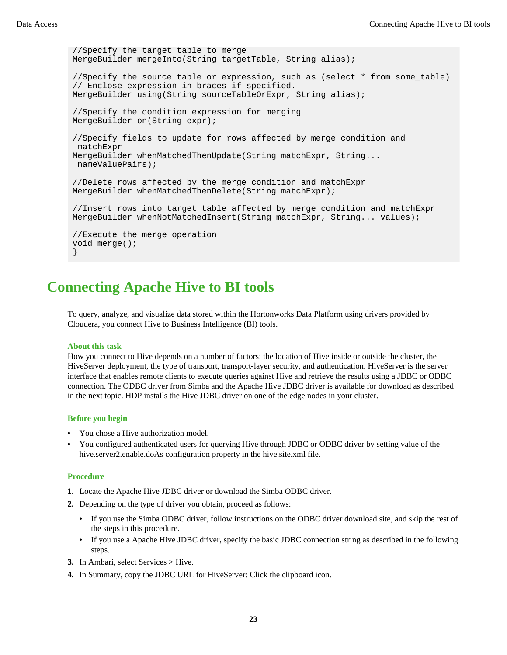```
//Specify the target table to merge
MergeBuilder mergeInto(String targetTable, String alias);
//Specify the source table or expression, such as (select * from some_table)
// Enclose expression in braces if specified.
MergeBuilder using(String sourceTableOrExpr, String alias);
//Specify the condition expression for merging
MergeBuilder on(String expr);
//Specify fields to update for rows affected by merge condition and
 matchExpr 
MergeBuilder whenMatchedThenUpdate(String matchExpr, String...
 nameValuePairs);
//Delete rows affected by the merge condition and matchExpr
MergeBuilder whenMatchedThenDelete(String matchExpr);
//Insert rows into target table affected by merge condition and matchExpr
MergeBuilder whenNotMatchedInsert(String matchExpr, String... values);
//Execute the merge operation
void merge();
}
```
## <span id="page-22-0"></span>**Connecting Apache Hive to BI tools**

To query, analyze, and visualize data stored within the Hortonworks Data Platform using drivers provided by Cloudera, you connect Hive to Business Intelligence (BI) tools.

#### **About this task**

How you connect to Hive depends on a number of factors: the location of Hive inside or outside the cluster, the HiveServer deployment, the type of transport, transport-layer security, and authentication. HiveServer is the server interface that enables remote clients to execute queries against Hive and retrieve the results using a JDBC or ODBC connection. The ODBC driver from Simba and the Apache Hive JDBC driver is available for download as described in the next topic. HDP installs the Hive JDBC driver on one of the edge nodes in your cluster.

#### **Before you begin**

- You chose a Hive authorization model.
- You configured authenticated users for querying Hive through JDBC or ODBC driver by setting value of the hive.server2.enable.doAs configuration property in the hive.site.xml file.

#### **Procedure**

- **1.** Locate the Apache Hive JDBC driver or download the Simba ODBC driver.
- **2.** Depending on the type of driver you obtain, proceed as follows:
	- If you use the Simba ODBC driver, follow instructions on the ODBC driver download site, and skip the rest of the steps in this procedure.
	- If you use a Apache Hive JDBC driver, specify the basic JDBC connection string as described in the following steps.
- **3.** In Ambari, select Services > Hive.
- **4.** In Summary, copy the JDBC URL for HiveServer: Click the clipboard icon.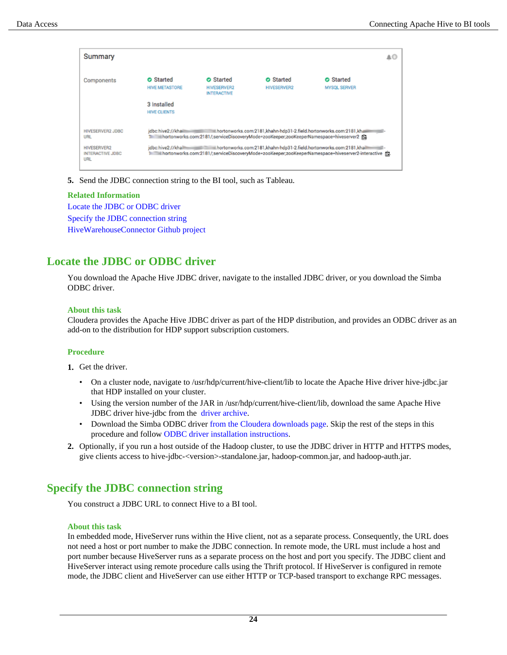| Summary                                              |                                           |                                                                                                                                                                                                                                |                                                                  |                                                                                                   | A0 |
|------------------------------------------------------|-------------------------------------------|--------------------------------------------------------------------------------------------------------------------------------------------------------------------------------------------------------------------------------|------------------------------------------------------------------|---------------------------------------------------------------------------------------------------|----|
| Components                                           | <b>O</b> Started<br><b>HIVE METASTORE</b> | <b>O</b> Started<br><b>HIVESERVER2</b><br><b>INTERACTIVE</b>                                                                                                                                                                   | <b>O</b> Started<br><b>HIVESERVER2</b>                           | <b>O</b> Started<br><b>MYSQL SERVER</b>                                                           |    |
|                                                      | 3 Installed<br><b>HIVE CLIENTS</b>        |                                                                                                                                                                                                                                |                                                                  |                                                                                                   |    |
| <b>HIVESERVER2 JDBC</b><br><b>URL</b>                | idbc:hive2://khaill<br>$-2000$            | The information of the interverse procedure of the interverse content of the interverse content of the interverse content of the interverse content of the interverse content of the interverse content of the interverse cont | hortonworks.com:2181,khahn-hdp31-2.field.hortonworks.com:2181,kh |                                                                                                   |    |
| <b>HIVESERVER2</b><br><b>INTERACTIVE JDBC</b><br>URL | idbc:hive2://khailli                      |                                                                                                                                                                                                                                |                                                                  | 1 hortonworks.com:2181/;serviceDiscoveryMode=zooKeeper;zooKeeperNamespace=hiveserver2-interactive |    |

**5.** Send the JDBC connection string to the BI tool, such as Tableau.

#### **Related Information**

[Locate the JDBC or ODBC driver](#page-23-0) [Specify the JDBC connection string](#page-23-1) [HiveWarehouseConnector Github project](https://github.com/hortonworks-spark/spark-llap/tree/master)

## <span id="page-23-0"></span>**Locate the JDBC or ODBC driver**

You download the Apache Hive JDBC driver, navigate to the installed JDBC driver, or you download the Simba ODBC driver.

#### **About this task**

Cloudera provides the Apache Hive JDBC driver as part of the HDP distribution, and provides an ODBC driver as an add-on to the distribution for HDP support subscription customers.

#### **Procedure**

- **1.** Get the driver.
	- On a cluster node, navigate to /usr/hdp/current/hive-client/lib to locate the Apache Hive driver hive-jdbc.jar that HDP installed on your cluster.
	- Using the version number of the JAR in /usr/hdp/current/hive-client/lib, download the same Apache Hive JDBC driver hive-jdbc from the [driver archive.](http://repo.hortonworks.com/content/repositories/releases/org/apache/hive/hive-jdbc/)
	- Download the Simba ODBC driver [from the Cloudera downloads page](https://www.cloudera.com/downloads/hdp.html). Skip the rest of the steps in this procedure and follow [ODBC driver installation instructions](https://hortonworks.com/wp-content/uploads/2014/05/Product-Guide-HDP-2.1-v1.01.pdf).
- **2.** Optionally, if you run a host outside of the Hadoop cluster, to use the JDBC driver in HTTP and HTTPS modes, give clients access to hive-jdbc-<version>-standalone.jar, hadoop-common.jar, and hadoop-auth.jar.

## <span id="page-23-1"></span>**Specify the JDBC connection string**

You construct a JDBC URL to connect Hive to a BI tool.

#### **About this task**

In embedded mode, HiveServer runs within the Hive client, not as a separate process. Consequently, the URL does not need a host or port number to make the JDBC connection. In remote mode, the URL must include a host and port number because HiveServer runs as a separate process on the host and port you specify. The JDBC client and HiveServer interact using remote procedure calls using the Thrift protocol. If HiveServer is configured in remote mode, the JDBC client and HiveServer can use either HTTP or TCP-based transport to exchange RPC messages.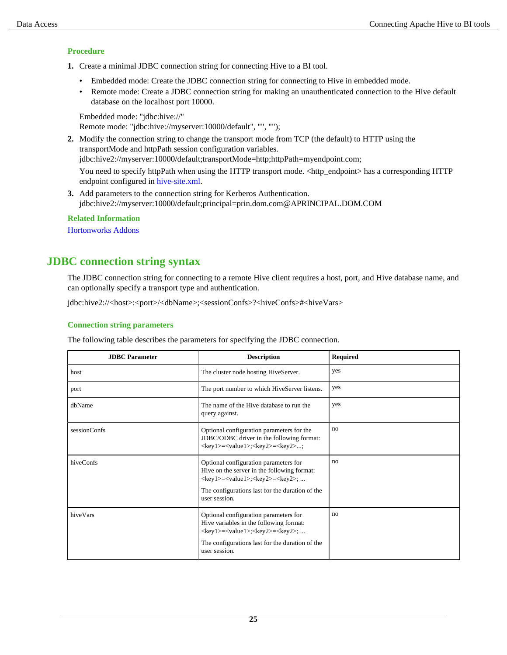#### **Procedure**

- **1.** Create a minimal JDBC connection string for connecting Hive to a BI tool.
	- Embedded mode: Create the JDBC connection string for connecting to Hive in embedded mode.
	- Remote mode: Create a JDBC connection string for making an unauthenticated connection to the Hive default database on the localhost port 10000.

```
Embedded mode: "jdbc:hive://"
Remote mode: "jdbc:hive://myserver:10000/default", "", "");
```
**2.** Modify the connection string to change the transport mode from TCP (the default) to HTTP using the transportMode and httpPath session configuration variables.

jdbc:hive2://myserver:10000/default;transportMode=http;httpPath=myendpoint.com;

You need to specify httpPath when using the HTTP transport mode. <http\_endpoint> has a corresponding HTTP endpoint configured in [hive-site.xml.](https://cwiki.apache.org/confluence/display/Hive/AdminManual+Configuration#AdminManualConfiguration-ConfiguringHive)

**3.** Add parameters to the connection string for Kerberos Authentication. jdbc:hive2://myserver:10000/default;principal=prin.dom.com@APRINCIPAL.DOM.COM

**Related Information** [Hortonworks Addons](https://hortonworks.com/hdp/addons/)

## <span id="page-24-0"></span>**JDBC connection string syntax**

The JDBC connection string for connecting to a remote Hive client requires a host, port, and Hive database name, and can optionally specify a transport type and authentication.

jdbc:hive2://<host>:<port>/<dbName>;<sessionConfs>?<hiveConfs>#<hiveVars>

#### **Connection string parameters**

The following table describes the parameters for specifying the JDBC connection.

| <b>JDBC</b> Parameter | <b>Description</b>                                                                                                                                                                                                                                        | <b>Required</b> |
|-----------------------|-----------------------------------------------------------------------------------------------------------------------------------------------------------------------------------------------------------------------------------------------------------|-----------------|
| host                  | The cluster node hosting HiveServer.                                                                                                                                                                                                                      | yes             |
| port                  | The port number to which HiveServer listens.                                                                                                                                                                                                              | yes             |
| dbName                | The name of the Hive database to run the<br>query against.                                                                                                                                                                                                | yes             |
| sessionConfs          | Optional configuration parameters for the<br>JDBC/ODBC driver in the following format:<br><key1>=<value1>;<key2>=<key2>;</key2></key2></value1></key1>                                                                                                    | no              |
| hiveConfs             | Optional configuration parameters for<br>Hive on the server in the following format:<br><key1>=<value1>;<key2>=<key2>;<br/>The configurations last for the duration of the<br/>user session.</key2></key2></value1></key1>                                | no              |
| hiveVars              | Optional configuration parameters for<br>Hive variables in the following format:<br>$\langle key1 \rangle = \langle value1 \rangle$ ; $\langle key2 \rangle = \langle key2 \rangle$ ;<br>The configurations last for the duration of the<br>user session. | no              |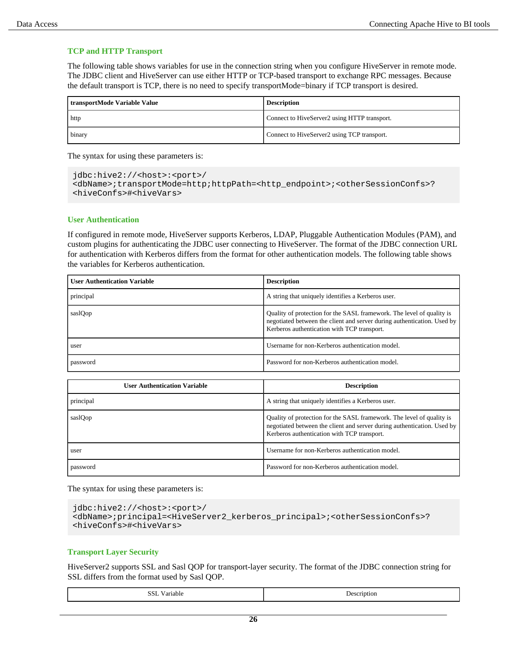#### **TCP and HTTP Transport**

The following table shows variables for use in the connection string when you configure HiveServer in remote mode. The JDBC client and HiveServer can use either HTTP or TCP-based transport to exchange RPC messages. Because the default transport is TCP, there is no need to specify transportMode=binary if TCP transport is desired.

| transportMode Variable Value | <b>Description</b>                           |  |
|------------------------------|----------------------------------------------|--|
| http                         | Connect to HiveServer2 using HTTP transport. |  |
| binary                       | Connect to HiveServer2 using TCP transport.  |  |

The syntax for using these parameters is:

```
jdbc:hive2://<host>:<port>/
<dbName>;transportMode=http;httpPath=<http_endpoint>;<otherSessionConfs>?
<hiveConfs>#<hiveVars>
```
#### **User Authentication**

If configured in remote mode, HiveServer supports Kerberos, LDAP, Pluggable Authentication Modules (PAM), and custom plugins for authenticating the JDBC user connecting to HiveServer. The format of the JDBC connection URL for authentication with Kerberos differs from the format for other authentication models. The following table shows the variables for Kerberos authentication.

| <b>User Authentication Variable</b> | <b>Description</b>                                                                                                                                                                              |
|-------------------------------------|-------------------------------------------------------------------------------------------------------------------------------------------------------------------------------------------------|
| principal                           | A string that uniquely identifies a Kerberos user.                                                                                                                                              |
| saslQop                             | Quality of protection for the SASL framework. The level of quality is<br>negotiated between the client and server during authentication. Used by<br>Kerberos authentication with TCP transport. |
| user                                | Username for non-Kerberos authentication model.                                                                                                                                                 |
| password                            | Password for non-Kerberos authentication model.                                                                                                                                                 |

| <b>User Authentication Variable</b> | <b>Description</b>                                                                                                                                                                              |
|-------------------------------------|-------------------------------------------------------------------------------------------------------------------------------------------------------------------------------------------------|
| principal                           | A string that uniquely identifies a Kerberos user.                                                                                                                                              |
| saslQop                             | Quality of protection for the SASL framework. The level of quality is<br>negotiated between the client and server during authentication. Used by<br>Kerberos authentication with TCP transport. |
| user                                | Username for non-Kerberos authentication model.                                                                                                                                                 |
| password                            | Password for non-Kerberos authentication model.                                                                                                                                                 |

The syntax for using these parameters is:

```
jdbc:hive2://<host>:<port>/
<dbName>;principal=<HiveServer2_kerberos_principal>;<otherSessionConfs>?
<hiveConfs>#<hiveVars>
```
#### **Transport Layer Security**

HiveServer2 supports SSL and Sasl QOP for transport-layer security. The format of the JDBC connection string for SSL differs from the format used by Sasl QOP.

| SSI<br>v ariadie<br>$-$ | uption.<br>. .<br>. |
|-------------------------|---------------------|
|-------------------------|---------------------|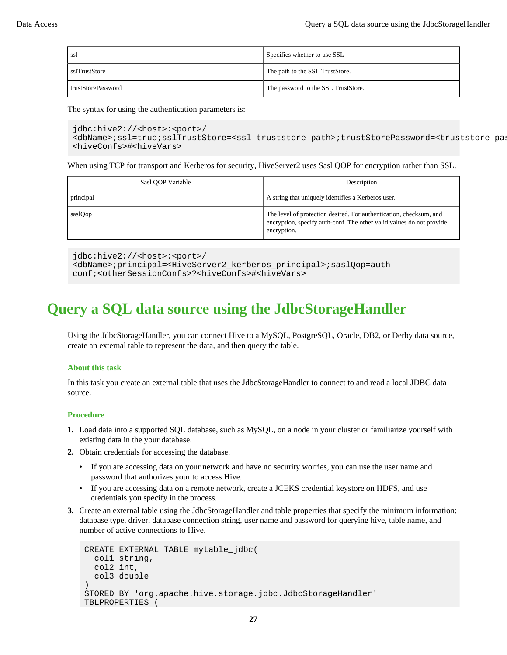| ssl                | Specifies whether to use SSL        |
|--------------------|-------------------------------------|
| sslTrustStore      | The path to the SSL TrustStore.     |
| trustStorePassword | The password to the SSL TrustStore. |

The syntax for using the authentication parameters is:

```
jdbc:hive2://<host>:<port>/
<dbName>;ssl=true;sslTrustStore=<ssl_truststore_path>;trustStorePassword=<truststore_pas
<hiveConfs>#<hiveVars>
```
When using TCP for transport and Kerberos for security, HiveServer2 uses Sasl QOP for encryption rather than SSL.

| Sasl QOP Variable | Description                                                                                                                                               |  |  |  |  |
|-------------------|-----------------------------------------------------------------------------------------------------------------------------------------------------------|--|--|--|--|
| principal         | A string that uniquely identifies a Kerberos user.                                                                                                        |  |  |  |  |
| saslOop           | The level of protection desired. For authentication, checksum, and<br>encryption, specify auth-conf. The other valid values do not provide<br>encryption. |  |  |  |  |

jdbc:hive2://<host>:<port>/ <dbName>;principal=<HiveServer2\_kerberos\_principal>;saslQop=authconf;<otherSessionConfs>?<hiveConfs>#<hiveVars>

## <span id="page-26-0"></span>**Query a SQL data source using the JdbcStorageHandler**

Using the JdbcStorageHandler, you can connect Hive to a MySQL, PostgreSQL, Oracle, DB2, or Derby data source, create an external table to represent the data, and then query the table.

#### **About this task**

In this task you create an external table that uses the JdbcStorageHandler to connect to and read a local JDBC data source.

#### **Procedure**

- **1.** Load data into a supported SQL database, such as MySQL, on a node in your cluster or familiarize yourself with existing data in the your database.
- **2.** Obtain credentials for accessing the database.
	- If you are accessing data on your network and have no security worries, you can use the user name and password that authorizes your to access Hive.
	- If you are accessing data on a remote network, create a JCEKS credential keystore on HDFS, and use credentials you specify in the process.
- **3.** Create an external table using the JdbcStorageHandler and table properties that specify the minimum information: database type, driver, database connection string, user name and password for querying hive, table name, and number of active connections to Hive.

```
CREATE EXTERNAL TABLE mytable_jdbc(
   col1 string,
   col2 int,
   col3 double
)
STORED BY 'org.apache.hive.storage.jdbc.JdbcStorageHandler'
TBLPROPERTIES (
```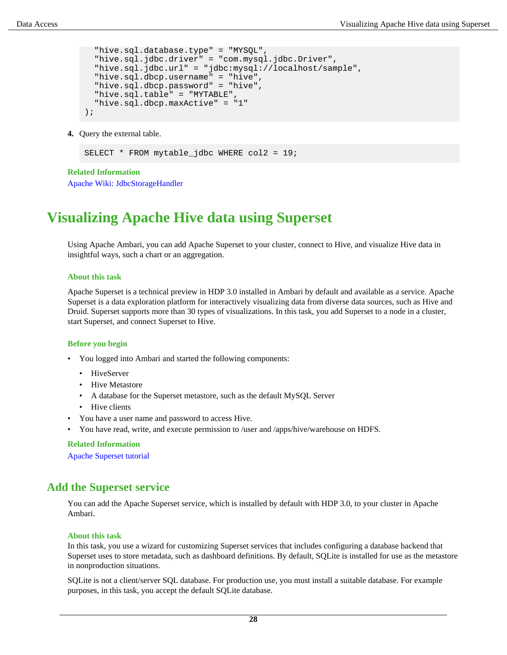```
 "hive.sql.database.type" = "MYSQL",
   "hive.sql.jdbc.driver" = "com.mysql.jdbc.Driver",
   "hive.sql.jdbc.url" = "jdbc:mysql://localhost/sample",
   "hive.sql.dbcp.username" = "hive",
   "hive.sql.dbcp.password" = "hive",
   "hive.sql.table" = "MYTABLE",
   "hive.sql.dbcp.maxActive" = "1"
);
```
**4.** Query the external table.

SELECT \* FROM mytable\_jdbc WHERE col2 = 19;

**Related Information**

[Apache Wiki: JdbcStorageHandler](https://cwiki.apache.org/confluence/display/Hive/JdbcStorageHandler)

## <span id="page-27-0"></span>**Visualizing Apache Hive data using Superset**

Using Apache Ambari, you can add Apache Superset to your cluster, connect to Hive, and visualize Hive data in insightful ways, such a chart or an aggregation.

#### **About this task**

Apache Superset is a technical preview in HDP 3.0 installed in Ambari by default and available as a service. Apache Superset is a data exploration platform for interactively visualizing data from diverse data sources, such as Hive and Druid. Superset supports more than 30 types of visualizations. In this task, you add Superset to a node in a cluster, start Superset, and connect Superset to Hive.

#### **Before you begin**

- You logged into Ambari and started the following components:
	- HiveServer
	- Hive Metastore
	- A database for the Superset metastore, such as the default MySQL Server
	- Hive clients
- You have a user name and password to access Hive.
- You have read, write, and execute permission to /user and /apps/hive/warehouse on HDFS.

#### **Related Information**

[Apache Superset tutorial](https://superset.incubator.apache.org/tutorial.html)

## <span id="page-27-1"></span>**Add the Superset service**

You can add the Apache Superset service, which is installed by default with HDP 3.0, to your cluster in Apache Ambari.

#### **About this task**

In this task, you use a wizard for customizing Superset services that includes configuring a database backend that Superset uses to store metadata, such as dashboard definitions. By default, SQLite is installed for use as the metastore in nonproduction situations.

SQLite is not a client/server SQL database. For production use, you must install a suitable database. For example purposes, in this task, you accept the default SQLite database.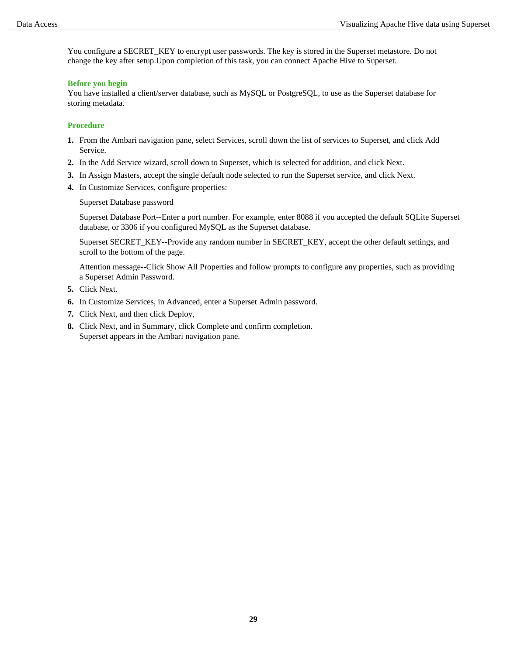You configure a SECRET\_KEY to encrypt user passwords. The key is stored in the Superset metastore. Do not change the key after setup.Upon completion of this task, you can connect Apache Hive to Superset.

#### **Before you begin**

You have installed a client/server database, such as MySQL or PostgreSQL, to use as the Superset database for storing metadata.

#### **Procedure**

- **1.** From the Ambari navigation pane, select Services, scroll down the list of services to Superset, and click Add Service.
- **2.** In the Add Service wizard, scroll down to Superset, which is selected for addition, and click Next.
- **3.** In Assign Masters, accept the single default node selected to run the Superset service, and click Next.
- **4.** In Customize Services, configure properties:

Superset Database password

Superset Database Port--Enter a port number. For example, enter 8088 if you accepted the default SQLite Superset database, or 3306 if you configured MySQL as the Superset database.

Superset SECRET\_KEY--Provide any random number in SECRET\_KEY, accept the other default settings, and scroll to the bottom of the page.

Attention message--Click Show All Properties and follow prompts to configure any properties, such as providing a Superset Admin Password.

- **5.** Click Next.
- **6.** In Customize Services, in Advanced, enter a Superset Admin password.
- **7.** Click Next, and then click Deploy,
- **8.** Click Next, and in Summary, click Complete and confirm completion. Superset appears in the Ambari navigation pane.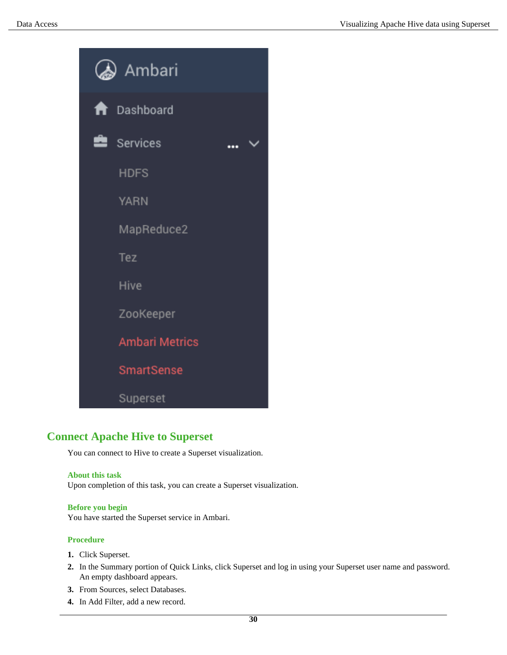

## <span id="page-29-0"></span>**Connect Apache Hive to Superset**

You can connect to Hive to create a Superset visualization.

#### **About this task**

Upon completion of this task, you can create a Superset visualization.

#### **Before you begin**

You have started the Superset service in Ambari.

#### **Procedure**

- **1.** Click Superset.
- **2.** In the Summary portion of Quick Links, click Superset and log in using your Superset user name and password. An empty dashboard appears.
- **3.** From Sources, select Databases.
- **4.** In Add Filter, add a new record.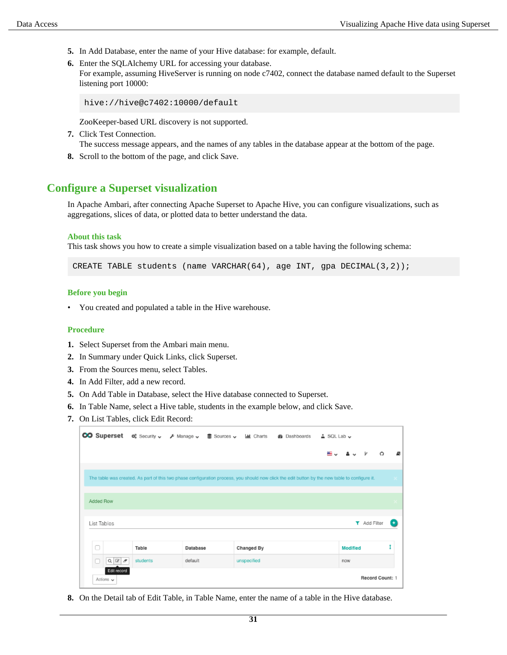- **5.** In Add Database, enter the name of your Hive database: for example, default.
- **6.** Enter the SQLAlchemy URL for accessing your database.

For example, assuming HiveServer is running on node c7402, connect the database named default to the Superset listening port 10000:

hive://hive@c7402:10000/default

ZooKeeper-based URL discovery is not supported.

- **7.** Click Test Connection. The success message appears, and the names of any tables in the database appear at the bottom of the page.
- **8.** Scroll to the bottom of the page, and click Save.

## <span id="page-30-0"></span>**Configure a Superset visualization**

In Apache Ambari, after connecting Apache Superset to Apache Hive, you can configure visualizations, such as aggregations, slices of data, or plotted data to better understand the data.

#### **About this task**

This task shows you how to create a simple visualization based on a table having the following schema:

CREATE TABLE students (name VARCHAR(64), age INT, gpa DECIMAL(3,2));

#### **Before you begin**

• You created and populated a table in the Hive warehouse.

#### **Procedure**

- **1.** Select Superset from the Ambari main menu.
- **2.** In Summary under Quick Links, click Superset.
- **3.** From the Sources menu, select Tables.
- **4.** In Add Filter, add a new record.
- **5.** On Add Table in Database, select the Hive database connected to Superset.
- **6.** In Table Name, select a Hive table, students in the example below, and click Save.
- **7.** On List Tables, click Edit Record:

| The table was created. As part of this two phase configuration process, you should now click the edit button by the new table to configure it.<br>Added Row<br>List Tables<br>$\Box$<br>Table |          |             | ≝↓              | $\Omega$<br><b>T</b> Add Filter |
|-----------------------------------------------------------------------------------------------------------------------------------------------------------------------------------------------|----------|-------------|-----------------|---------------------------------|
|                                                                                                                                                                                               |          |             |                 |                                 |
|                                                                                                                                                                                               |          |             |                 |                                 |
|                                                                                                                                                                                               |          |             |                 |                                 |
|                                                                                                                                                                                               |          |             |                 |                                 |
|                                                                                                                                                                                               |          |             |                 |                                 |
|                                                                                                                                                                                               |          |             |                 |                                 |
|                                                                                                                                                                                               |          |             |                 |                                 |
|                                                                                                                                                                                               | Database | Changed By  | <b>Modified</b> |                                 |
| O<br>$\alpha$<br>$Q_1$<br>students<br>$\sigma$                                                                                                                                                | default  | unspecified | now             |                                 |
| Edit record<br>Actions $\sim$                                                                                                                                                                 |          |             |                 | Record Count: 1                 |

**8.** On the Detail tab of Edit Table, in Table Name, enter the name of a table in the Hive database.